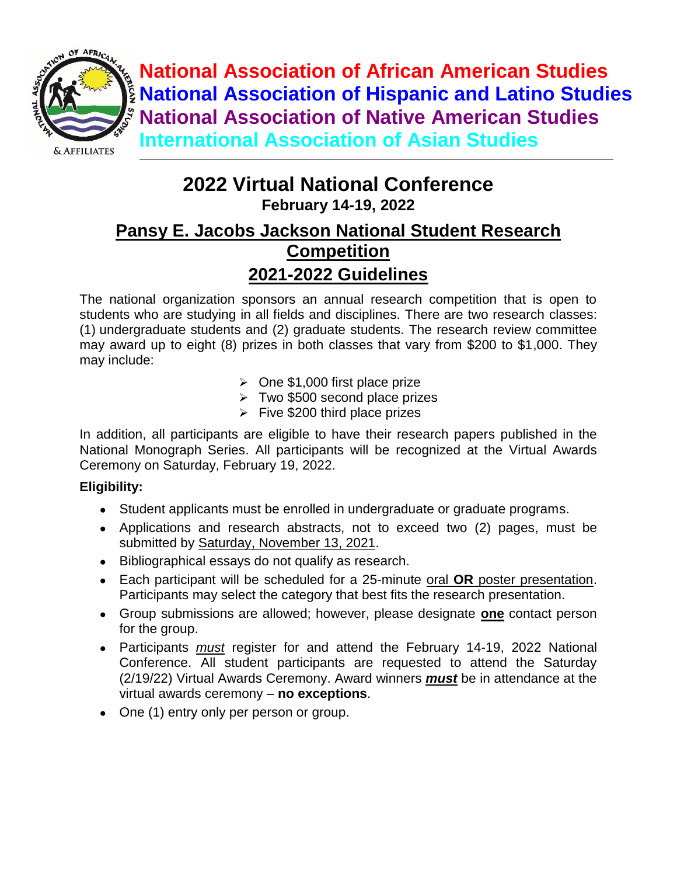

**National Association of African American Studies National Association of Hispanic and Latino Studies National Association of Native American Studies International Association of Asian Studies**

# **2022 Virtual National Conference**

**February 14-19, 2022** 

## **Pansy E. Jacobs Jackson National Student Research Competition 2021-2022 Guidelines**

The national organization sponsors an annual research competition that is open to students who are studying in all fields and disciplines. There are two research classes: (1) undergraduate students and (2) graduate students. The research review committee may award up to eight (8) prizes in both classes that vary from \$200 to \$1,000. They may include:

- $\geq$  One \$1,000 first place prize
- $\triangleright$  Two \$500 second place prizes
- $\triangleright$  Five \$200 third place prizes

In addition, all participants are eligible to have their research papers published in the National Monograph Series. All participants will be recognized at the Virtual Awards Ceremony on Saturday, February 19, 2022.

#### **Eligibility:**

- Student applicants must be enrolled in undergraduate or graduate programs.
- Applications and research abstracts, not to exceed two (2) pages, must be submitted by Saturday, November 13, 2021.
- Bibliographical essays do not qualify as research.
- Each participant will be scheduled for a 25-minute oral **OR** poster presentation. Participants may select the category that best fits the research presentation.
- Group submissions are allowed; however, please designate **one** contact person for the group.
- Participants *must* register for and attend the February 14-19, 2022 National Conference. All student participants are requested to attend the Saturday (2/19/22) Virtual Awards Ceremony. Award winners *must* be in attendance at the virtual awards ceremony – **no exceptions**.
- One (1) entry only per person or group.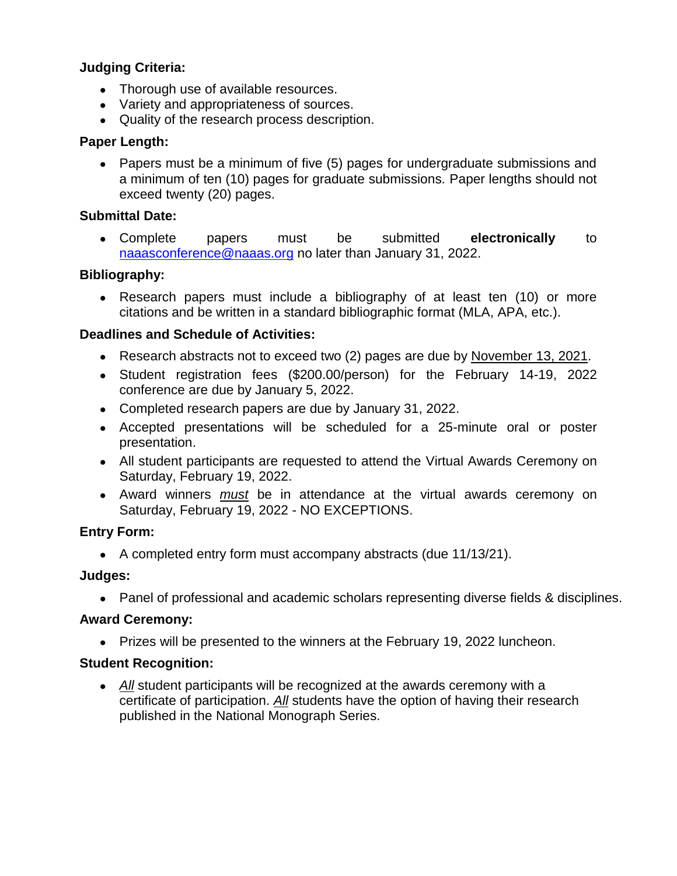#### **Judging Criteria:**

- Thorough use of available resources.
- Variety and appropriateness of sources.
- Quality of the research process description.

#### **Paper Length:**

• Papers must be a minimum of five (5) pages for undergraduate submissions and a minimum of ten (10) pages for graduate submissions. Paper lengths should not exceed twenty (20) pages.

#### **Submittal Date:**

● Complete papers must be submitted **electronically** to [naaasconference@naaas.org](mailto:naaasconference@naaas.org) no later than January 31, 2022.

#### **Bibliography:**

• Research papers must include a bibliography of at least ten (10) or more citations and be written in a standard bibliographic format (MLA, APA, etc.).

#### **Deadlines and Schedule of Activities:**

- Research abstracts not to exceed two (2) pages are due by November 13, 2021.
- Student registration fees (\$200.00/person) for the February 14-19, 2022 conference are due by January 5, 2022.
- Completed research papers are due by January 31, 2022.
- Accepted presentations will be scheduled for a 25-minute oral or poster presentation.
- All student participants are requested to attend the Virtual Awards Ceremony on Saturday, February 19, 2022.
- Award winners *must* be in attendance at the virtual awards ceremony on Saturday, February 19, 2022 - NO EXCEPTIONS.

#### **Entry Form:**

● A completed entry form must accompany abstracts (due 11/13/21).

#### **Judges:**

• Panel of professional and academic scholars representing diverse fields & disciplines.

#### **Award Ceremony:**

• Prizes will be presented to the winners at the February 19, 2022 luncheon.

#### **Student Recognition:**

● *All* student participants will be recognized at the awards ceremony with a certificate of participation. *All* students have the option of having their research published in the National Monograph Series.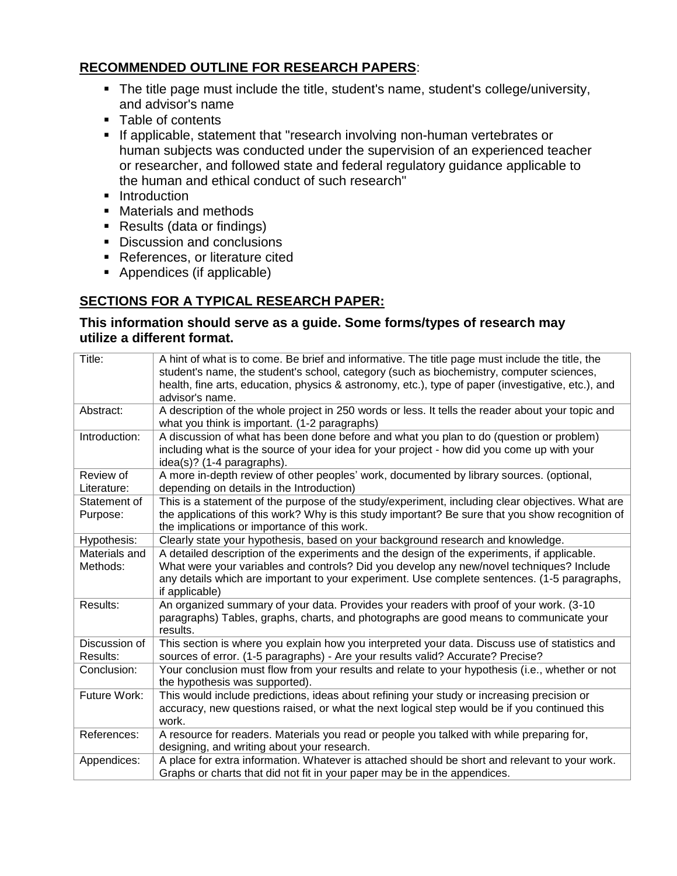#### **RECOMMENDED OUTLINE FOR [RESEARCH PAPERS](http://www.jshs.org/Paper_Submission.html)**:

- The title page must include the title, student's name, student's college/university, and advisor's name
- Table of contents
- **If applicable, statement that "research involving non-human vertebrates or** human subjects was conducted under the supervision of an experienced teacher or researcher, and followed state and federal regulatory guidance applicable to the human and ethical conduct of such research"
- **Introduction**
- Materials and methods
- Results (data or findings)
- Discussion and conclusions
- **References, or literature cited**
- Appendices (if applicable)

### **SECTIONS FOR A TYPICAL RESEARCH PAPER:**

#### **This information should serve as a guide. Some forms/types of research may utilize a different format.**

| Title:                    | A hint of what is to come. Be brief and informative. The title page must include the title, the<br>student's name, the student's school, category (such as biochemistry, computer sciences,<br>health, fine arts, education, physics & astronomy, etc.), type of paper (investigative, etc.), and<br>advisor's name. |
|---------------------------|----------------------------------------------------------------------------------------------------------------------------------------------------------------------------------------------------------------------------------------------------------------------------------------------------------------------|
| Abstract:                 | A description of the whole project in 250 words or less. It tells the reader about your topic and<br>what you think is important. (1-2 paragraphs)                                                                                                                                                                   |
| Introduction:             | A discussion of what has been done before and what you plan to do (question or problem)<br>including what is the source of your idea for your project - how did you come up with your<br>idea(s)? (1-4 paragraphs).                                                                                                  |
| Review of<br>Literature:  | A more in-depth review of other peoples' work, documented by library sources. (optional,<br>depending on details in the Introduction)                                                                                                                                                                                |
| Statement of<br>Purpose:  | This is a statement of the purpose of the study/experiment, including clear objectives. What are<br>the applications of this work? Why is this study important? Be sure that you show recognition of<br>the implications or importance of this work.                                                                 |
| Hypothesis:               | Clearly state your hypothesis, based on your background research and knowledge.                                                                                                                                                                                                                                      |
| Materials and<br>Methods: | A detailed description of the experiments and the design of the experiments, if applicable.<br>What were your variables and controls? Did you develop any new/novel techniques? Include<br>any details which are important to your experiment. Use complete sentences. (1-5 paragraphs,<br>if applicable)            |
| Results:                  | An organized summary of your data. Provides your readers with proof of your work. (3-10<br>paragraphs) Tables, graphs, charts, and photographs are good means to communicate your<br>results.                                                                                                                        |
| Discussion of<br>Results: | This section is where you explain how you interpreted your data. Discuss use of statistics and<br>sources of error. (1-5 paragraphs) - Are your results valid? Accurate? Precise?                                                                                                                                    |
| Conclusion:               | Your conclusion must flow from your results and relate to your hypothesis (i.e., whether or not<br>the hypothesis was supported).                                                                                                                                                                                    |
| Future Work:              | This would include predictions, ideas about refining your study or increasing precision or<br>accuracy, new questions raised, or what the next logical step would be if you continued this<br>work.                                                                                                                  |
| References:               | A resource for readers. Materials you read or people you talked with while preparing for,<br>designing, and writing about your research.                                                                                                                                                                             |
| Appendices:               | A place for extra information. Whatever is attached should be short and relevant to your work.<br>Graphs or charts that did not fit in your paper may be in the appendices.                                                                                                                                          |